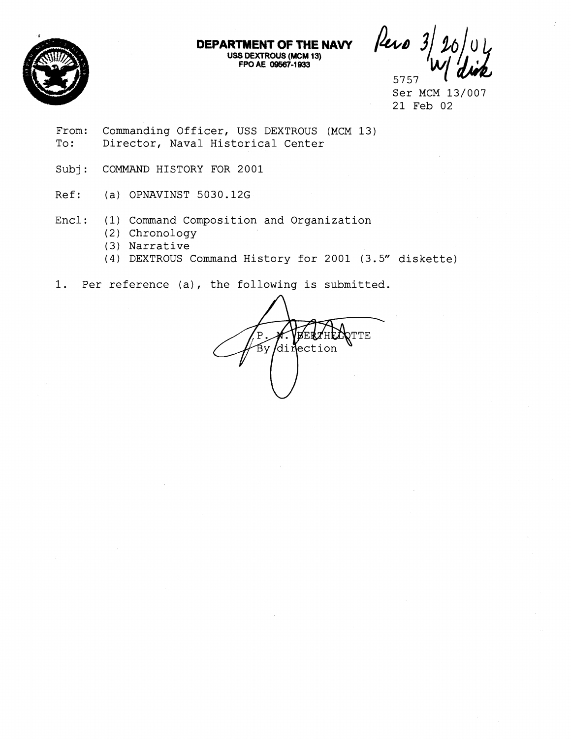

Pero 3 5757

Ser MCM 13/007 21 Feb 02

From: Commanding Officer, USS DEXTROUS (MCM 13) To: Director, Naval Historical Center

Subj: COMMAND HISTORY FOR 2001

Ref: (a) OPNAVINST 5030.12G

Encl: (1) Command Composition and Organization

- (2) Chronology
- (3) Narrative
- (4) DEXTROUS Command History for 2001 (3.5" diskette)

**DEPARTMENT OF THE NAVY USS DEXTROUS (MCM 13) FPO AE 09587-1 933** 

1. Per reference (a), the following is submitted.

TTE  $\mathbf{P}$  $\mathop{\textrm{By}}\nolimits$  di Mection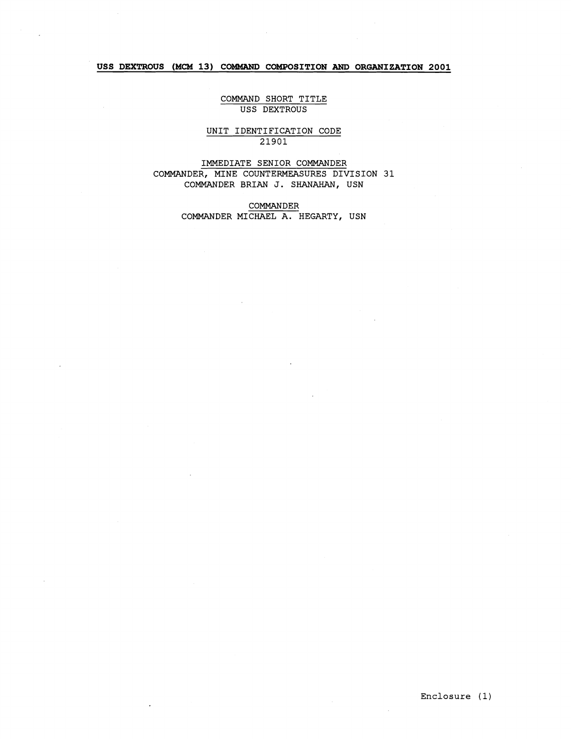## **USS DEXTROUS (MCM 13) COMMAND COMPOSITION AND ORGANIZATION 2001**

### COMMAND SHORT TITLE USS DEXTROUS

### UNIT IDENTIFICATION CODE 21901

IMMEDIATE SENIOR COMMANDER COMMANDER, MINE COUNTERMEASURES DIVISION 31 COMMANDER BRIAN J. SHANAHAN, USN

> COMMANDER COMMANDER MICHAEL A. HEGARTY, USN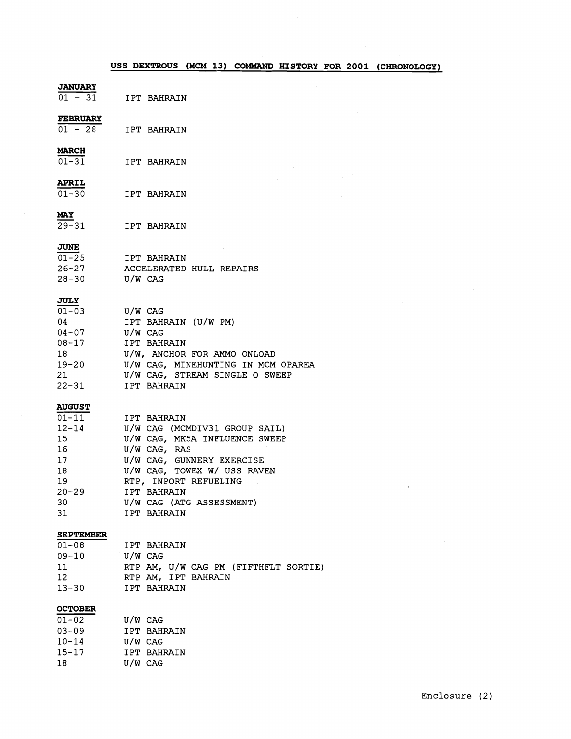|                                                                                                             | USS DEXTROUS (MCM 13) COMMAND HISTORY FOR 2001 (CHRONOLOGY)                                                                                                                                                                                  |
|-------------------------------------------------------------------------------------------------------------|----------------------------------------------------------------------------------------------------------------------------------------------------------------------------------------------------------------------------------------------|
| <b>JANUARY</b><br>$01 - 31$                                                                                 | IPT BAHRAIN                                                                                                                                                                                                                                  |
| <b>FEBRUARY</b><br>$01 - 28$                                                                                | IPT BAHRAIN                                                                                                                                                                                                                                  |
| <b>MARCH</b><br>$01 - 31$                                                                                   | IPT BAHRAIN                                                                                                                                                                                                                                  |
| <b>APRIL</b><br>$01 - 30$                                                                                   | IPT BAHRAIN                                                                                                                                                                                                                                  |
| MAY<br>$29 - 31$                                                                                            | IPT BAHRAIN                                                                                                                                                                                                                                  |
| JUNE<br>$01 - 25$<br>$26 - 27$<br>$28 - 30$                                                                 | IPT BAHRAIN<br>ACCELERATED HULL REPAIRS<br>U/W CAG                                                                                                                                                                                           |
| <b>JULY</b><br>$01 - 03$<br>04<br>$04 - 07$<br>$08 - 17$<br>19-20<br>21<br>$22 - 31$                        | U/W CAG<br>IPT BAHRAIN (U/W PM)<br>U/W CAG<br>IPT BAHRAIN<br>U/W, ANCHOR FOR AMMO ONLOAD<br>U/W CAG, MINEHUNTING IN MCM OPAREA<br>U/W CAG, STREAM SINGLE O SWEEP<br>IPT BAHRAIN                                                              |
| <b>AUGUST</b><br>$01 - 11$<br>$12 - 14$<br>15<br>16<br>17 <sub>2</sub><br>18<br>19<br>$20 - 29$<br>30<br>31 | IPT BAHRAIN<br>U/W CAG (MCMDIV31 GROUP SAIL)<br>U/W CAG, MK5A INFLUENCE SWEEP<br>U/W CAG, RAS<br>U/W CAG, GUNNERY EXERCISE<br>U/W CAG, TOWEX W/ USS RAVEN<br>RTP, INPORT REFUELING<br>IPT BAHRAIN<br>U/W CAG (ATG ASSESSMENT)<br>IPT BAHRAIN |
| <b>SEPTEMBER</b><br>$01 - 08$<br>$09 - 10$<br>11<br>12 <sup>2</sup><br>$13 - 30$                            | IPT BAHRAIN<br>U/W CAG<br>RTP AM, U/W CAG PM (FIFTHFLT SORTIE)<br>RTP AM, IPT BAHRAIN<br>IPT BAHRAIN                                                                                                                                         |
| <b>OCTOBER</b><br>$01 - 02$                                                                                 | U/W CAG                                                                                                                                                                                                                                      |

| 03-09     |         | IPT BAHRAIN |
|-----------|---------|-------------|
| $10 - 14$ | U/W CAG |             |
| $15 - 17$ |         | IPT BAHRAIN |
| 18        | U/W CAG |             |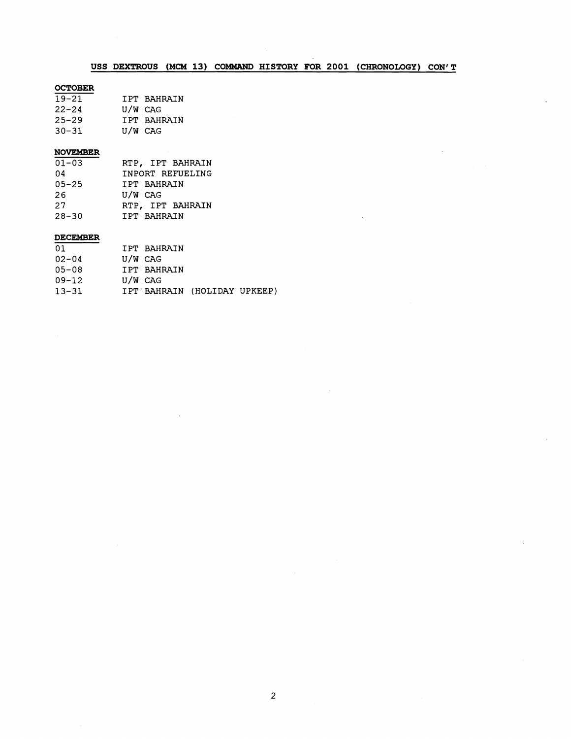# USS DEXTROUS (MCM 13) COMMAND HISTORY FOR 2001 (CHRONOLOGY) CON'T

## **OCTOBER**

| $19 - 21$ |         | IPT BAHRAIN |
|-----------|---------|-------------|
| $22 - 24$ | U/W CAG |             |
| 25–29     |         | IPT BAHRAIN |
| 30-31     | U/W CAG |             |

## **NOVEMBER**

| $01 - 03$ | RTP, IPT BAHRAIN |
|-----------|------------------|
| 04        | INPORT REFUELING |
| $05 - 25$ | IPT BAHRAIN      |
| 26.       | U/W CAG          |
| 27        | RTP, IPT BAHRAIN |
| $28 - 30$ | IPT BAHRAIN      |

# **DECEMBER**

| 01        |         | IPT BAHRAIN |                              |  |
|-----------|---------|-------------|------------------------------|--|
| $02 - 04$ | U/W CAG |             |                              |  |
| $05 - 08$ |         | IPT BAHRAIN |                              |  |
| $09 - 12$ | U/W CAG |             |                              |  |
| $13 - 31$ |         |             | IPT BAHRAIN (HOLIDAY UPKEEP) |  |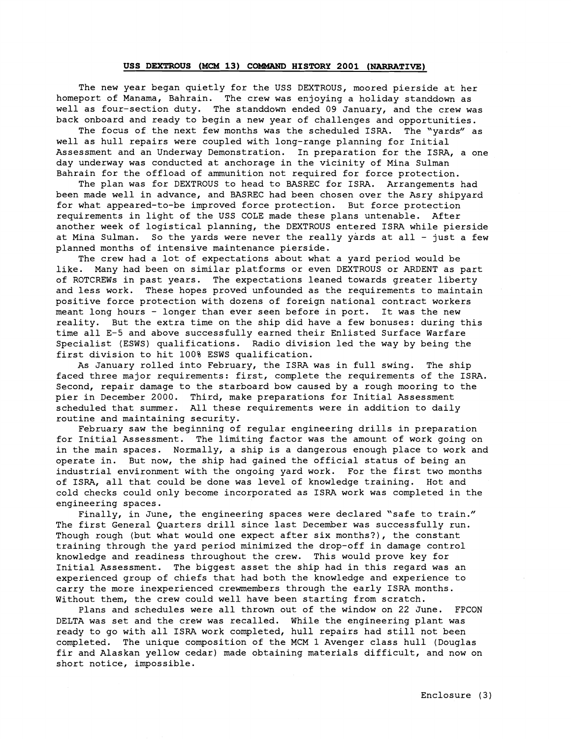### **USS DEXTROUS (MCM 13) COMMAND HISTORY 2001 (NARRATIVE)**

The new year began quietly for the USS DEXTROUS, moored pierside at her homeport of Manama, Bahrain. The crew was enjoying a holiday standdown as well as four-section duty. The standdown ended 09 January, and the crew was back onboard and ready to begin a new year of challenges and opportunities.

The focus of the next few months was the scheduled ISRA. The "yards" as well as hull repairs were coupled with long-range planning for Initial Assessment and an Underway Demonstration. In preparation for the ISRA, a one day underway was conducted at anchorage in the vicinity of Mina Sulman Bahrain for the offload of ammunition not required for force protection.

The plan was for DEXTROUS to head to BASREC for ISRA. Arrangements had been made well in advance, and BASREC had been chosen over the Asry shipyard for what appeared-to-be improved force protection. But force protection requirements in light of the USS COLE made these plans untenable. After another week of logistical planning, the DEXTROUS entered ISRA while pierside at Mina Sulman. So the yards were never the really yards at all - just a few planned months of intensive maintenance pierside.

The crew had a lot of expectations about what a yard period would be like. Many had been on similar platforms or even DEXTROUS or ARDENT as part of ROTCREWs in past years. The expectations leaned towards greater liberty and less work. These hopes proved unfounded as the requirements to maintain positive force protection with dozens of foreign national contract workers meant long hours - longer than ever seen before in port. It was the new reality. But the extra time on the ship did have a few bonuses: during this time all E-5 and above successfully earned their Enlisted Surface Warfare Specialist (ESWS) qualifications. Radio division led the way by being the first division to hit 100% ESWS qualification.

As January rolled into February, the ISRA was in full swing. The ship faced three major requirements: first, complete the requirements of the ISM. Second, repair damage to the starboard bow caused by a rough mooring to the pier in December 2000. Third, make preparations for Initial Assessment scheduled that summer. All these requirements were in addition to daily routine and maintaining security.

February saw the beginning of regular engineering drills in preparation for Initial Assessment. The limiting factor was the amount of work going on in the main spaces. Normally, a ship is a dangerous enough place to work and operate in. But now, the ship had gained the official status of being an industrial environment with the ongoing yard work. For the first two months of ISM, all that could be done was level of knowledge training. Hot and cold checks could only become incorporated as ISRA work was completed in the engineering spaces.

Finally, in June, the engineering spaces were declared "safe to train." The first General Quarters drill since last December was successfully run. Though rough (but what would one expect after six months?), the constant training through the yard period minimized the drop-off in damage control knowledge and readiness throughout the crew. This would prove key for Initial Assessment. The biggest asset the ship had in this regard was an experienced group of chiefs that had both the knowledge and experience to carry the more inexperienced crewmembers through the early ISRA months. Without them, the crew could well have been starting from scratch.

Plans and schedules were all thrown out of the window on 22 June. FPCON DELTA was set and the crew was recalled. While the engineering plant was ready to go with all ISRA work completed, hull repairs had still not been completed. The unique composition of the MCM 1 Avenger class hull (Douglas fir and Alaskan yellow cedar) made obtaining materials difficult, and now on short notice, impossible.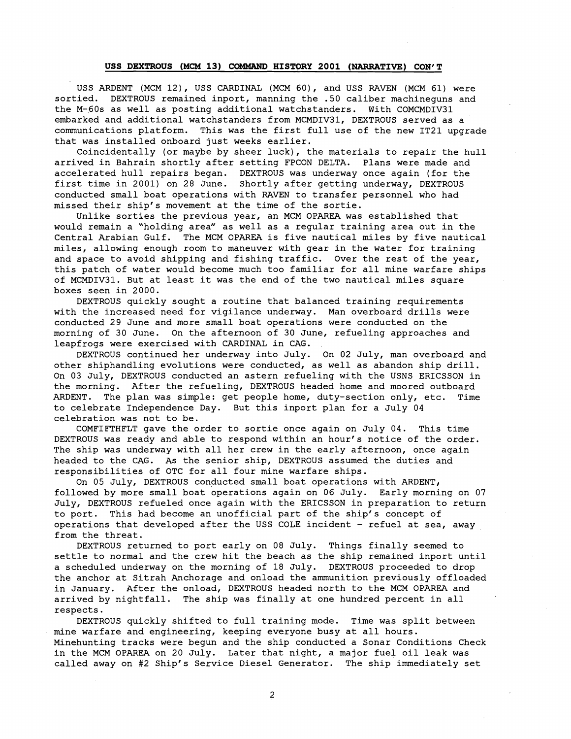#### **USS** DEXTROUS **(MCM 13)** COMMAND HISTORY **2001** (NARRATIVE) CON'T

USS ARDENT (MCM 12), USS CARDINAL (MCM 60), and USS RAVEN (MCM 61) were sortied. DEXTROUS remained inport, manning the .50 caliber machineguns and the M-60s as well as posting additional watchstanders. With COMCMDIV31 embarked and additional watchstanders from MCMDIV31, DEXTROUS served as a communications platform. This was the first full use of the new IT21 upgrade that was installed onboard just weeks earlier.

Coincidentally (or maybe by sheer luck), the materials to repair the hull arrived in Bahrain shortly after setting FPCON DELTA. Plans were made and accelerated hull repairs began. DEXTROUS was underway once again (for the first time in 2001) on 28 June. Shortly after getting underway, DEXTROUS conducted small boat operations with RAVEN to transfer personnel who had missed their ship's movement at the time of the sortie.

Unlike sorties the previous year, an MCM OPAREA was established that would remain a "holding area" as well as a regular training area out in the Central Arabian Gulf. The MCM OPAREA is five nautical miles by five nautical miles, allowing enough room to maneuver with gear in the water for training and space to avoid shipping and fishing traffic. Over the rest of the year, this patch of water would become much too familiar for all mine warfare ships of MCMDIV31. But at least it was the end of the two nautical miles square boxes seen in 2000.

DEXTROUS quickly sought a routine that balanced training requirements with the increased need for vigilance underway. Man overboard drills were conducted 29 June and more small boat operations were conducted on the morning of 30 June. On the afternoon of 30 June, refueling approaches and leapfrogs were exercised with CARDINAL in CAG.

DEXTROUS continued her underway into July. On 02 July, man overboard and other shiphandling evolutions were conducted, as well as abandon ship drill. On 03 July, DEXTROUS conducted an astern refueling with the USNS ERICSSON in the morning. After the refueling, DEXTROUS headed home and moored outboard ARDENT. The plan was simple: get people home, duty-section only, etc. Time to celebrate Independence Day. But this inport plan for a July 04 celebration was not to be.

COMFIFTHFLT gave the order to sortie once again on July 04. This time DEXTROUS was ready and able to respond within an hour's notice of the order. The ship was underway with all her crew in the early afternoon, once again headed to the CAG. As the senior ship, DEXTROUS assumed the duties and responsibilities of OTC for all four mine warfare ships.

On 05 July, DEXTROUS conducted small boat operations with ARDENT, followed by more small boat operations again on 06 July. Early morning on 07 July, DEXTROUS refueled once again with the ERICSSON in preparation to return to port. This had become an unofficial part of the ship's concept of operations that developed after the USS COLE incident - refuel at sea, away from the threat.

DEXTROUS returned to port early on 08 July. Things finally seemed to settle to normal and the crew hit the beach as the ship remained inport until a scheduled underway on the morning of 18 July. DEXTROUS proceeded to drop the anchor at Sitrah Anchorage and onload the ammunition previously offloaded in January. After the onload, DEXTROUS headed north to the MCM OPAREA and arrived by nightfall. The ship was finally at one hundred percent in all respects.

DEXTROUS quickly shifted to full training mode. Time was split between mine warfare and engineering, keeping everyone busy at all hours. Minehunting tracks were begun and the ship conducted a Sonar Conditions Check in the MCM OPAREA on 20 July. Later that night, a major fuel oil leak was called away on #2 Ship's Service Diesel Generator. The ship immediately set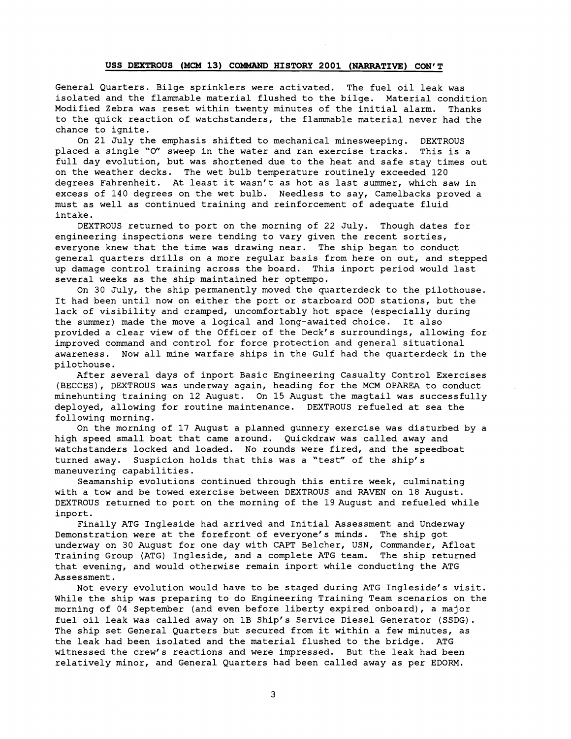#### **USS** DEXTROUS **(MCM** 13) COMMAND HISTORY 2001 (NARRATIVE) CON' T

General Quarters. Bilge sprinklers were activated. The fuel oil leak was isolated and the flammable material flushed to the bilge. Material condition Modified Zebra was reset within twenty minutes of the initial alarm. Thanks to the quick reaction of watchstanders, the flammable material never had the chance to ignite.

On 21 July the emphasis shifted to mechanical minesweeping. DEXTROUS placed a single '0" sweep in the water and ran exercise tracks. This is a full day evolution, but was shortened due to the heat and safe stay times out on the weather decks. The wet bulb temperature routinely exceeded 120 degrees Fahrenheit. At least it wasn't as hot as last summer, which saw in excess of 140 degrees on the wet bulb. Needless to say, Camelbacks proved a must as well as continued training and reinforcement of adequate fluid intake.

DEXTROUS returned to port on the morning of 22 July. Though dates for engineering inspections were tending to vary given the recent sorties, everyone knew that the time was drawing near. The ship began to conduct general quarters drills on a more regular basis from here on out, and stepped up damage control training across the board. This inport period would last several weeks as the ship maintained her optempo.

On 30 July, the ship permanently moved the quarterdeck to the pilothouse. It had been until now on either the port or starboard OOD stations, but the lack of visibility and cramped, uncomfortably hot space (especially during the summer) made the move a logical and long-awaited choice. It also provided a clear view of the Officer of the Deck's surroundings, allowing for improved command and control for force protection and general situational awareness. Now all mine warfare ships in the Gulf had the quarterdeck in the pilothouse.

After several days of inport Basic Engineering Casualty Control Exercises (BECCES), DEXTROUS was underway again, heading for the MCM OPAREA to conduct minehunting training on 12 August. On 15 August the magtail was successfully deployed, allowing for routine maintenance. DEXTROUS refueled at sea the following morning.

On the morning of 17 August a planned gunnery exercise was disturbed by a high speed small boat that came around. Quickdraw was called away and watchstanders locked and loaded. No rounds were fired, and the speedboat turned away. Suspicion holds that this was a "test" of the ship's maneuvering capabilities.

Seamanship evolutions continued through this entire week, culminating with a tow and be towed exercise between DEXTROUS and RAVEN on 18 August. DEXTROUS returned to port on the morning of the 19August and refueled while inport.

Finally ATG Ingleside had arrived and Initial Assessment and Underway Demonstration were at the forefront of everyone's minds. The ship got underway on 30 August for one day with CAPT Belcher, USN, Commander, Afloat Training Group (ATG) Ingleside, and a complete ATG team. The ship returned that evening, and would otherwise remain inport while conducting the ATG Assessment.

Not every evolution would have to be staged during ATG Ingleside's visit. While the ship was preparing to do Engineering Training Team scenarios on the morning of 04 September (and even before liberty expired onboard), a major fuel oil leak was called away on 1B Ship's Service Diesel Generator (SSDG). The ship set General Quarters but secured from it within a few minutes, as the leak had been isolated and the material flushed to the bridge. ATG witnessed the crew's reactions and were impressed. But the leak had been relatively minor, and General Quarters had been called away as per EDORM.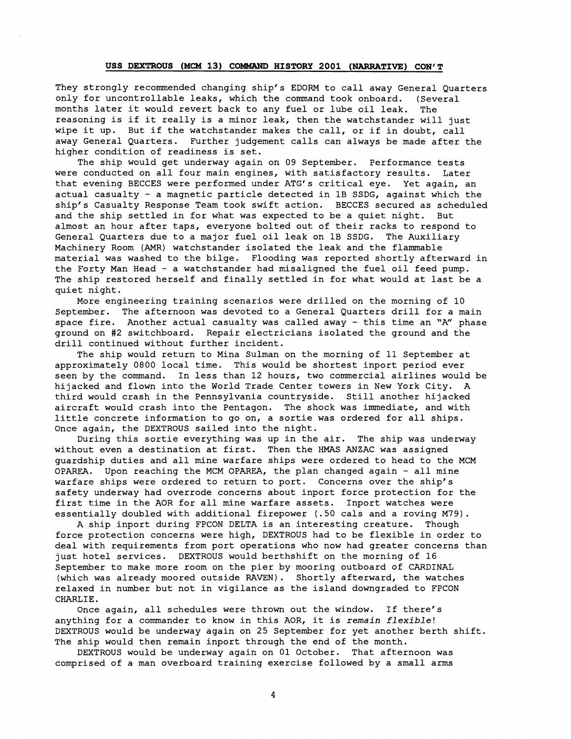### USS DEXTROUS (MCM 13) COMMAND HISTORY 2001 (NARRATIVE) CON'T

They strongly recommended changing ship's EDORM to call away General Quarters only for uncontrollable leaks, which the command took onboard. (several months later it would revert back to any fuel or lube oil leak. The reasoning is if it really is a minor leak, then the watchstander will just wipe it up. But if the watchstander makes the call, or if in doubt, call away General Quarters. Further judgement calls can always be made after the higher condition of readiness is set.

The ship would get underway again on 09 September. Performance tests were conducted on all four main engines, with satisfactory results. Later that evening BECCES were performed under ATG's critical eye. Yet again, an actual casualty - a magnetic particle detected in 1B SSDG, against which the ship's Casualty Response Team took swift action. BECCES secured as scheduled and the ship settled in for what was expected to be a quiet night. But almost an hour after taps, everyone bolted out of their racks to respond to General Quarters due to a major fuel oil leak on 1B SSDG. The Auxiliary Machinery Room (AMR) watchstander isolated the leak and the flammable material was washed to the bilge. Flooding was reported shortly afterward in the Forty Man Head - a watchstander had misaligned the fuel oil feed pump. The ship restored herself and finally settled in for what would at last be a quiet night.

More engineering training scenarios were drilled on the morning of 10 September. The afternoon was devoted to a General Quarters drill for a main space fire. Another actual casualty was called away - this time an "A" phase ground on #2 switchboard. Repair electricians isolated the ground and the drill continued without further incident.

The ship would return to Mina Sulman on the morning of 11 September at approximately 0800 local time. This would be shortest inport period ever seen by the command. In less than 12 hours, two commercial airlines would be hijacked and flown into the World Trade Center towers in New York City. A third would crash in the Pennsylvania countryside. Still another hijacked aircraft would crash into the Pentagon. The shock was immediate, and with little concrete information to go on, a sortie was ordered for all ships. Once again, the DEXTROUS sailed into the night.

During this sortie everything was up in the air. The ship was underway without even a destination at first. Then the HMAS ANZAC was assigned guardship duties and all mine warfare ships were ordered to head to the MCM OPAREA. Upon reaching the MCM OPAREA, the plan changed again - all mine warfare ships were ordered to return to port. Concerns over the ship's safety underway had overrode concerns about inport force protection for the first time in the AOR for all mine warfare assets. Inport watches were essentially doubled with additional firepower (.SO cals and a roving M79).

A ship inport during FPCON DELTA is an interesting creature. Though force protection concerns were high, DEXTROUS had to be flexible in order to deal with requirements from port operations who now had greater concerns than just hotel services. DEXTROUS would berthshift on the morning of 16 September to make more room on the pier by mooring outboard of CARDINAL (which was already moored outside RAVEN). Shortly afterward, the watches relaxed in number but not in vigilance as the island downgraded to FPCON CHARLIE.<br>Once again, all schedules were thrown out the window. If there's

anything for a commander to know in this AOR, it is *remain flexible!*  DEXTROUS would be underway again on 25 September for yet another berth shift. The ship would then remain inport through the end of the month.

DEXTROUS would be underway again on 01 October. That afternoon was comprised of a man overboard training exercise followed by a small arms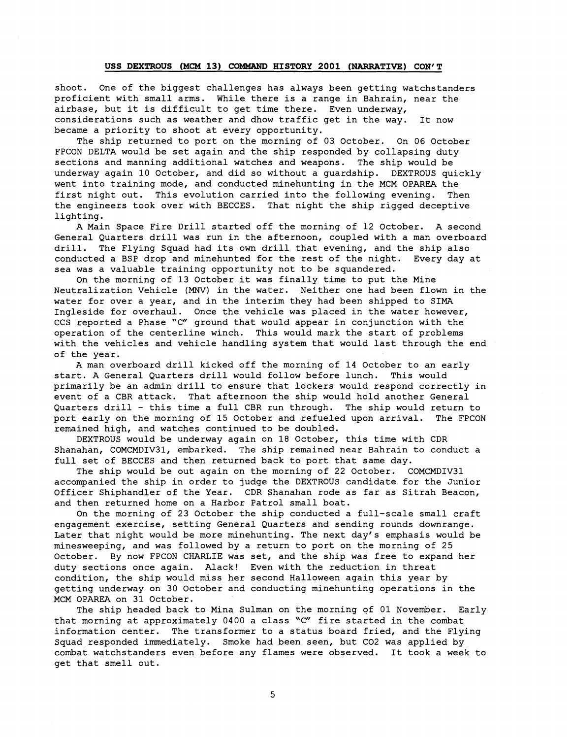#### USS DEXTROUS **(MCM** 13) COMMAND HISTORY 2001 (NARRATIVE) CON' T

shoot. One of the biggest challenges has always been getting watchstanders proficient with small arms. While there is a range in Bahrain, near the airbase, but it is difficult to get time there. Even underway, considerations such as weather and dhow traffic get in the way. It now became a priority to shoot at every opportunity.

The ship returned to port on the morning of 03 October. On 06 October FPCON DELTA would be set again and the ship responded by collapsing duty sections and manning additional watches and weapons. The ship would be underway again 10 October, and did so without a guardship. DEXTROUS quickly went into training mode, and conducted minehunting in the MCM OPAREA the first night out. This evolution carried into the following evening. Then the engineers took over with BECCES. That night the ship rigged deceptive lighting.

A Main Space Fire Drill started off the morning of 12 October. A second General Quarters drill was run in the afternoon, coupled with a man overboard drill. The Flying Squad had its own drill that evening, and the ship also conducted a BSP drop and minehunted for the rest of the night. Every day at sea was a valuable training opportunity not to be squandered.

On the morning of 13 October it was finally time to put the Mine Neutralization Vehicle (MNV) in the water. Neither one had been flown in the water for over a year, and in the interim they had been shipped to SIMA Ingleside for overhaul. Once the vehicle was placed in the water however, CCS reported a Phase "C" ground that would appear in conjunction with the operation of the centerline winch. This would mark the start of problems with the vehicles and vehicle handling system that would last through the end of the year.

A man overboard drill kicked off the morning of 14 October to an early start. A General Quarters drill would follow before lunch. This would primarily be an admin drill to ensure that lockers would respond correctly in event of a CBR attack. That afternoon the ship would hold another General Quarters drill - this time a full CBR run through. The ship would return to port early on the morning of 15 October and refueled upon arrival. The FPCON remained high, and watches continued to be doubled.

DEXTROUS would be underway again on 18 October, this time with CDR Shanahan, COMCMDIV31, embarked. The ship remained near Bahrain to conduct a full set of BECCES and then returned back to port that same day.

The ship would be out again on the morning of 22 October. COMCMDIV31 accompanied the ship in order to judge the DEXTROUS candidate for the Junior Officer Shiphandler of the Year. CDR Shanahan rode as far as Sitrah Beacon, and then returned home on a Harbor Patrol small boat.

On the morning of 23 October the ship conducted a full-scale small craft engagement exercise, setting General Quarters and sending rounds downrange. Later that night would be more minehunting. The next day's emphasis would be minesweeping, and was followed by a return to port on the morning of 25 October. By now FPCON CHARLIE was set, and the ship was free to expand her duty sections once again. Alack! Even with the reduction in threat condition, the ship would miss her second Halloween again this year by getting underway on 30 October and conducting minehunting operations in the MCM OPAREA on 31 October.

The ship headed back to Mina Sulman on the morning of 01 November. Early that morning at approximately 0400 a class 'C" fire started in the combat information center. The transformer to a status board fried, and the Flying Squad responded immediately. Smoke had been seen, but C02 was applied by combat watchstanders even before any flames were observed. It took a week to get that smell out.